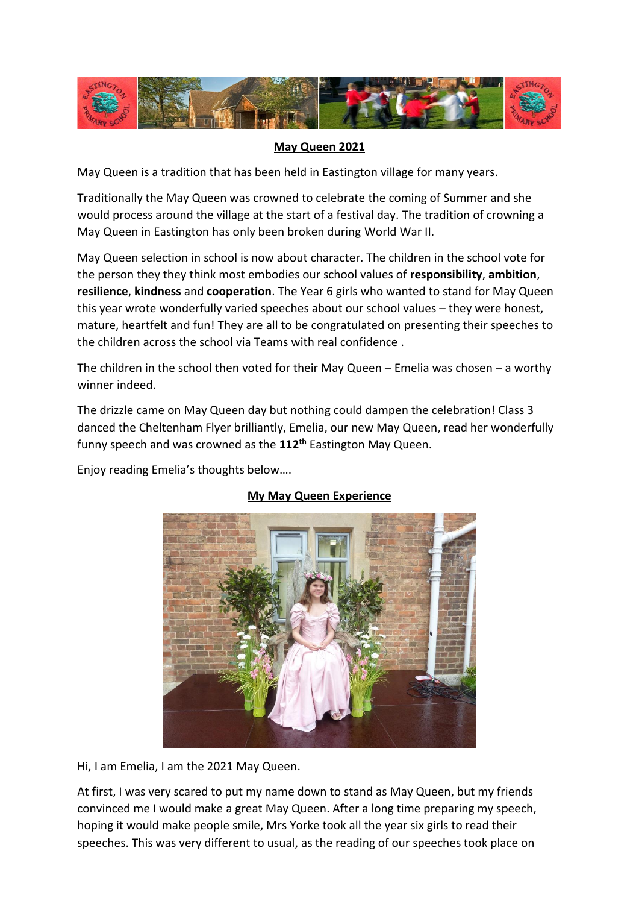

## **May Queen 2021**

May Queen is a tradition that has been held in Eastington village for many years.

Traditionally the May Queen was crowned to celebrate the coming of Summer and she would process around the village at the start of a festival day. The tradition of crowning a May Queen in Eastington has only been broken during World War II.

May Queen selection in school is now about character. The children in the school vote for the person they they think most embodies our school values of **responsibility**, **ambition**, **resilience**, **kindness** and **cooperation**. The Year 6 girls who wanted to stand for May Queen this year wrote wonderfully varied speeches about our school values – they were honest, mature, heartfelt and fun! They are all to be congratulated on presenting their speeches to the children across the school via Teams with real confidence .

The children in the school then voted for their May Queen – Emelia was chosen – a worthy winner indeed.

The drizzle came on May Queen day but nothing could dampen the celebration! Class 3 danced the Cheltenham Flyer brilliantly, Emelia, our new May Queen, read her wonderfully funny speech and was crowned as the **112th** Eastington May Queen.

Enjoy reading Emelia's thoughts below….



## **My May Queen Experience**

Hi, I am Emelia, I am the 2021 May Queen.

At first, I was very scared to put my name down to stand as May Queen, but my friends convinced me I would make a great May Queen. After a long time preparing my speech, hoping it would make people smile, Mrs Yorke took all the year six girls to read their speeches. This was very different to usual, as the reading of our speeches took place on